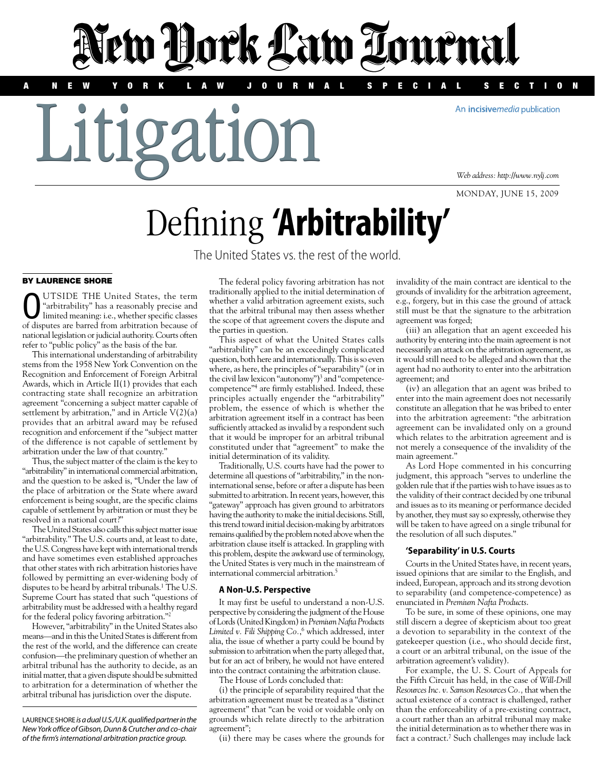A NEW YORK LAW JOURNAL SPECIAL SECTION

An incisivemedia publication

Litigation

*Web address: http://www.nylj.com*

monday, june 15, 2009

# Defining **'Arbitrability'**

New Hork Law Tournal

The United States vs. the rest of the world.

# By laurence Shore

OUTSIDE THE United States, the term limited meaning: i.e., whether specific classes "arbitrability" has a reasonably precise and of disputes are barred from arbitration because of national legislation or judicial authority. Courts often refer to "public policy" as the basis of the bar.

This international understanding of arbitrability stems from the 1958 New York Convention on the Recognition and Enforcement of Foreign Arbitral Awards, which in Article II(1) provides that each contracting state shall recognize an arbitration agreement "concerning a subject matter capable of settlement by arbitration," and in Article V(2)(a) provides that an arbitral award may be refused recognition and enforcement if the "subject matter of the difference is not capable of settlement by arbitration under the law of that country."

Thus, the subject matter of the claim is the key to "arbitrability" in international commercial arbitration, and the question to be asked is, "Under the law of the place of arbitration or the State where award enforcement is being sought, are the specific claims capable of settlement by arbitration or must they be resolved in a national court?"

The United States also calls this subject matter issue "arbitrability." The U.S. courts and, at least to date, the U.S. Congress have kept with international trends and have sometimes even established approaches that other states with rich arbitration histories have followed by permitting an ever-widening body of disputes to be heard by arbitral tribunals.<sup>1</sup> The U.S. Supreme Court has stated that such "questions of arbitrability must be addressed with a healthy regard for the federal policy favoring arbitration."2

However, "arbitrability" in the United States also means—and in this the United States is different from the rest of the world, and the difference can create confusion—the preliminary question of whether an arbitral tribunal has the authority to decide, as an initial matter, that a given dispute should be submitted to arbitration for a determination of whether the arbitral tribunal has jurisdiction over the dispute.

Laurence Shore *is a dual U.S./U.K. qualified partner in the New York office of Gibson, Dunn & Crutcher and co-chair of the firm's international arbitration practice group.*

The federal policy favoring arbitration has not traditionally applied to the initial determination of whether a valid arbitration agreement exists, such that the arbitral tribunal may then assess whether the scope of that agreement covers the dispute and the parties in question.

This aspect of what the United States calls "arbitrability" can be an exceedingly complicated question, both here and internationally. This is so even where, as here, the principles of "separability" (or in the civil law lexicon "autonomy")<sup>3</sup> and "competencecompetence"4 are firmly established. Indeed, these principles actually engender the "arbitrability" problem, the essence of which is whether the arbitration agreement itself in a contract has been sufficiently attacked as invalid by a respondent such that it would be improper for an arbitral tribunal constituted under that "agreement" to make the initial determination of its validity.

Traditionally, U.S. courts have had the power to determine all questions of "arbitrability," in the noninternational sense, before or after a dispute has been submitted to arbitration. In recent years, however, this "gateway" approach has given ground to arbitrators having the authority to make the initial decisions. Still, this trend toward initial decision-making by arbitrators remains qualified by the problem noted above when the arbitration clause itself is attacked. In grappling with this problem, despite the awkward use of terminology, the United States is very much in the mainstream of international commercial arbitration.5

### **A Non-U.S. Perspective**

It may first be useful to understand a non-U.S. perspective by considering the judgment of the House of Lords (United Kingdom) in *Premium Nafta Products Limited v. Fili Shipping Co.*, 6 which addressed, inter alia, the issue of whether a party could be bound by submission to arbitration when the party alleged that, but for an act of bribery, he would not have entered into the contract containing the arbitration clause.

The House of Lords concluded that:

(i) the principle of separability required that the arbitration agreement must be treated as a "distinct agreement" that "can be void or voidable only on grounds which relate directly to the arbitration agreement";

(ii) there may be cases where the grounds for

invalidity of the main contract are identical to the grounds of invalidity for the arbitration agreement, e.g., forgery, but in this case the ground of attack still must be that the signature to the arbitration agreement was forged;

(iii) an allegation that an agent exceeded his authority by entering into the main agreement is not necessarily an attack on the arbitration agreement, as it would still need to be alleged and shown that the agent had no authority to enter into the arbitration agreement; and

(iv) an allegation that an agent was bribed to enter into the main agreement does not necessarily constitute an allegation that he was bribed to enter into the arbitration agreement: "the arbitration agreement can be invalidated only on a ground which relates to the arbitration agreement and is not merely a consequence of the invalidity of the main agreement."

As Lord Hope commented in his concurring judgment, this approach "serves to underline the golden rule that if the parties wish to have issues as to the validity of their contract decided by one tribunal and issues as to its meaning or performance decided by another, they must say so expressly, otherwise they will be taken to have agreed on a single tribunal for the resolution of all such disputes."

### **'Separability' in U.S. Courts**

Courts in the United States have, in recent years, issued opinions that are similar to the English, and indeed, European, approach and its strong devotion to separability (and competence-competence) as enunciated in *Premium Nafta Products*.

To be sure, in some of these opinions, one may still discern a degree of skepticism about too great a devotion to separability in the context of the gatekeeper question (i.e., who should decide first, a court or an arbitral tribunal, on the issue of the arbitration agreement's validity).

For example, the U. S. Court of Appeals for the Fifth Circuit has held, in the case of *Will-Drill Resources Inc. v. Samson Resources Co.,*that when the actual existence of a contract is challenged, rather than the enforceability of a pre-existing contract, a court rather than an arbitral tribunal may make the initial determination as to whether there was in fact a contract.<sup>7</sup> Such challenges may include lack